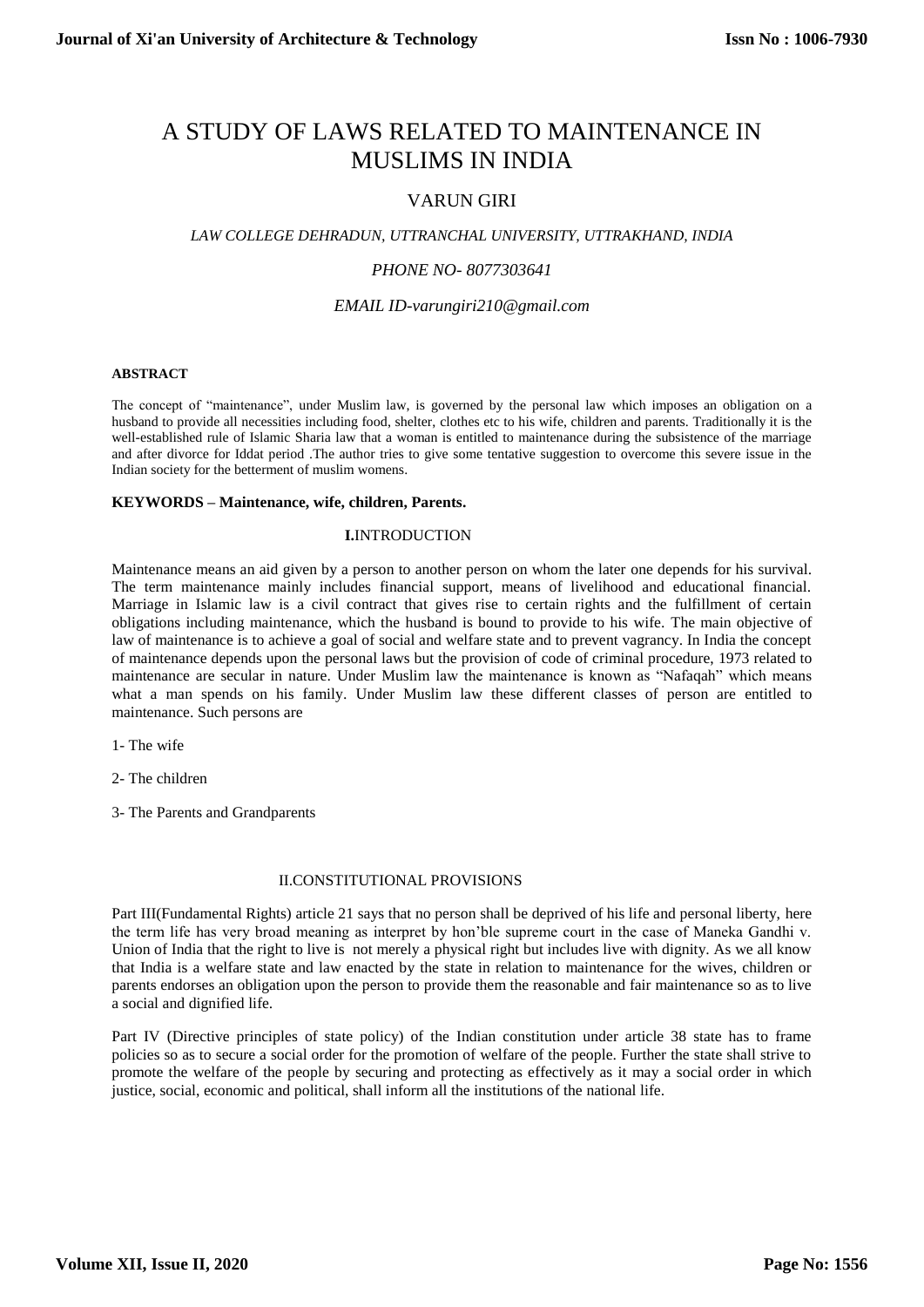# A STUDY OF LAWS RELATED TO MAINTENANCE IN MUSLIMS IN INDIA

## VARUN GIRI

## *LAW COLLEGE DEHRADUN, UTTRANCHAL UNIVERSITY, UTTRAKHAND, INDIA*

## *PHONE NO- 8077303641*

*EMAIL ID-varungiri210@gmail.com*

#### **ABSTRACT**

The concept of "maintenance", under Muslim law, is governed by the personal law which imposes an obligation on a husband to provide all necessities including food, shelter, clothes etc to his wife, children and parents. Traditionally it is the well-established rule of Islamic Sharia law that a woman is entitled to maintenance during the subsistence of the marriage and after divorce for Iddat period .The author tries to give some tentative suggestion to overcome this severe issue in the Indian society for the betterment of muslim womens.

### **KEYWORDS – Maintenance, wife, children, Parents.**

## **I.**INTRODUCTION

Maintenance means an aid given by a person to another person on whom the later one depends for his survival. The term maintenance mainly includes financial support, means of livelihood and educational financial. Marriage in Islamic law is a civil contract that gives rise to certain rights and the fulfillment of certain obligations including maintenance, which the husband is bound to provide to his wife. The main objective of law of maintenance is to achieve a goal of social and welfare state and to prevent vagrancy. In India the concept of maintenance depends upon the personal laws but the provision of code of criminal procedure, 1973 related to maintenance are secular in nature. Under Muslim law the maintenance is known as "Nafaqah" which means what a man spends on his family. Under Muslim law these different classes of person are entitled to maintenance. Such persons are

1- The wife

2- The children

3- The Parents and Grandparents

## II.CONSTITUTIONAL PROVISIONS

Part III(Fundamental Rights) article 21 says that no person shall be deprived of his life and personal liberty, here the term life has very broad meaning as interpret by hon'ble supreme court in the case of Maneka Gandhi v. Union of India that the right to live is not merely a physical right but includes live with dignity. As we all know that India is a welfare state and law enacted by the state in relation to maintenance for the wives, children or parents endorses an obligation upon the person to provide them the reasonable and fair maintenance so as to live a social and dignified life.

Part IV (Directive principles of state policy) of the Indian constitution under article 38 state has to frame policies so as to secure a social order for the promotion of welfare of the people. Further the state shall strive to promote the welfare of the people by securing and protecting as effectively as it may a social order in which justice, social, economic and political, shall inform all the institutions of the national life.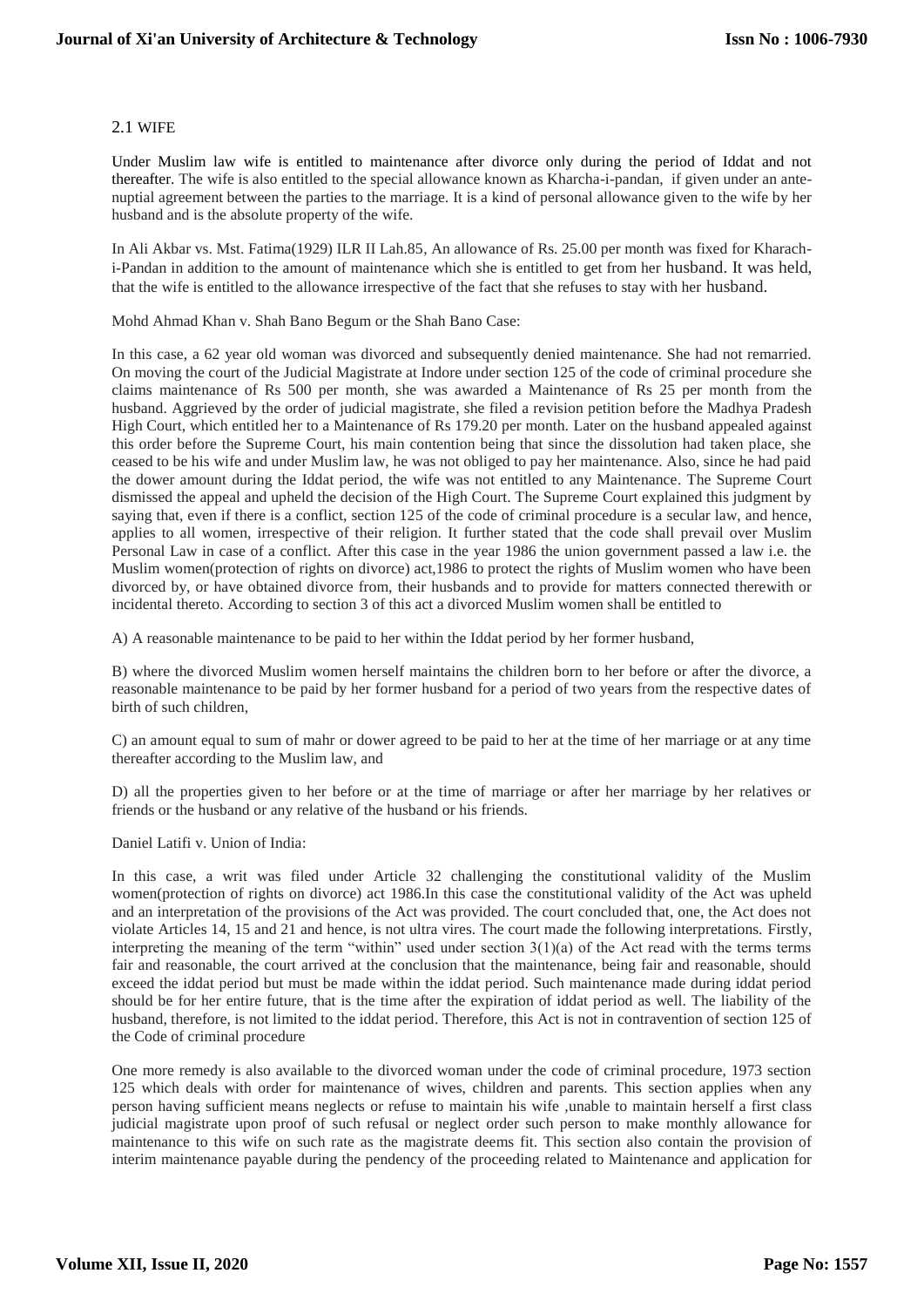## 2.1 WIFE

Under Muslim law wife is entitled to maintenance after divorce only during the period of Iddat and not thereafter. The wife is also entitled to the special allowance known as Kharcha-i-pandan, if given under an antenuptial agreement between the parties to the marriage. It is a kind of personal allowance given to the wife by her husband and is the absolute property of the wife.

In Ali Akbar vs. Mst. Fatima(1929) ILR II Lah.85, An allowance of Rs. 25.00 per month was fixed for Kharachi-Pandan in addition to the amount of maintenance which she is entitled to get from her husband. It was held, that the wife is entitled to the allowance irrespective of the fact that she refuses to stay with her husband.

Mohd Ahmad Khan v. Shah Bano Begum or the Shah Bano Case:

In this case, a 62 year old woman was divorced and subsequently denied maintenance. She had not remarried. On moving the court of the Judicial Magistrate at Indore under section 125 of the code of criminal procedure she claims maintenance of Rs 500 per month, she was awarded a Maintenance of Rs 25 per month from the husband. Aggrieved by the order of judicial magistrate, she filed a revision petition before the Madhya Pradesh High Court, which entitled her to a Maintenance of Rs 179.20 per month. Later on the husband appealed against this order before the Supreme Court, his main contention being that since the dissolution had taken place, she ceased to be his wife and under Muslim law, he was not obliged to pay her maintenance. Also, since he had paid the dower amount during the Iddat period, the wife was not entitled to any Maintenance. The Supreme Court dismissed the appeal and upheld the decision of the High Court. The Supreme Court explained this judgment by saying that, even if there is a conflict, section 125 of the code of criminal procedure is a secular law, and hence, applies to all women, irrespective of their religion. It further stated that the code shall prevail over Muslim Personal Law in case of a conflict. After this case in the year 1986 the union government passed a law i.e. the Muslim women(protection of rights on divorce) act,1986 to protect the rights of Muslim women who have been divorced by, or have obtained divorce from, their husbands and to provide for matters connected therewith or incidental thereto. According to section 3 of this act a divorced Muslim women shall be entitled to

A) A reasonable maintenance to be paid to her within the Iddat period by her former husband,

B) where the divorced Muslim women herself maintains the children born to her before or after the divorce, a reasonable maintenance to be paid by her former husband for a period of two years from the respective dates of birth of such children,

C) an amount equal to sum of mahr or dower agreed to be paid to her at the time of her marriage or at any time thereafter according to the Muslim law, and

D) all the properties given to her before or at the time of marriage or after her marriage by her relatives or friends or the husband or any relative of the husband or his friends.

Daniel Latifi v. Union of India:

In this case, a writ was filed under Article 32 challenging the constitutional validity of the Muslim women(protection of rights on divorce) act 1986.In this case the constitutional validity of the Act was upheld and an interpretation of the provisions of the Act was provided. The court concluded that, one, the Act does not violate Articles 14, 15 and 21 and hence, is not ultra vires. The court made the following interpretations. Firstly, interpreting the meaning of the term "within" used under section 3(1)(a) of the Act read with the terms terms fair and reasonable, the court arrived at the conclusion that the maintenance, being fair and reasonable, should exceed the iddat period but must be made within the iddat period. Such maintenance made during iddat period should be for her entire future, that is the time after the expiration of iddat period as well. The liability of the husband, therefore, is not limited to the iddat period. Therefore, this Act is not in contravention of section 125 of the Code of criminal procedure

One more remedy is also available to the divorced woman under the code of criminal procedure, 1973 section 125 which deals with order for maintenance of wives, children and parents. This section applies when any person having sufficient means neglects or refuse to maintain his wife ,unable to maintain herself a first class judicial magistrate upon proof of such refusal or neglect order such person to make monthly allowance for maintenance to this wife on such rate as the magistrate deems fit. This section also contain the provision of interim maintenance payable during the pendency of the proceeding related to Maintenance and application for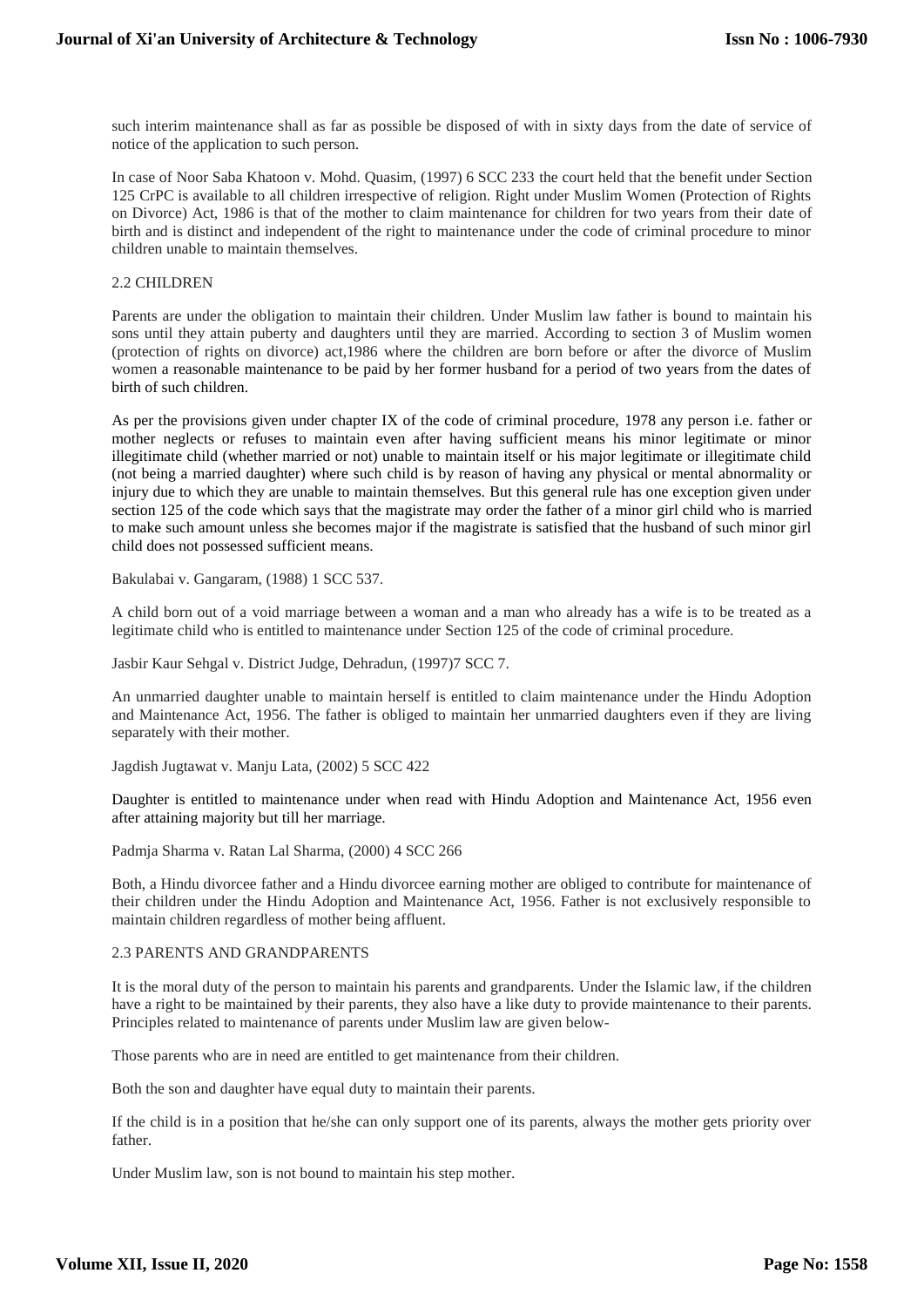such interim maintenance shall as far as possible be disposed of with in sixty days from the date of service of notice of the application to such person.

In case of Noor Saba Khatoon v. Mohd. Quasim, (1997) 6 SCC 233 the court held that the benefit under Section 125 CrPC is available to all children irrespective of religion. Right under Muslim Women (Protection of Rights on Divorce) Act, 1986 is that of the mother to claim maintenance for children for two years from their date of birth and is distinct and independent of the right to maintenance under the code of criminal procedure to minor children unable to maintain themselves.

### 2.2 CHILDREN

Parents are under the obligation to maintain their children. Under Muslim law father is bound to maintain his sons until they attain puberty and daughters until they are married. According to section 3 of Muslim women (protection of rights on divorce) act,1986 where the children are born before or after the divorce of Muslim women a reasonable maintenance to be paid by her former husband for a period of two years from the dates of birth of such children.

As per the provisions given under chapter IX of the code of criminal procedure, 1978 any person i.e. father or mother neglects or refuses to maintain even after having sufficient means his minor legitimate or minor illegitimate child (whether married or not) unable to maintain itself or his major legitimate or illegitimate child (not being a married daughter) where such child is by reason of having any physical or mental abnormality or injury due to which they are unable to maintain themselves. But this general rule has one exception given under section 125 of the code which says that the magistrate may order the father of a minor girl child who is married to make such amount unless she becomes major if the magistrate is satisfied that the husband of such minor girl child does not possessed sufficient means.

Bakulabai v. Gangaram, (1988) 1 SCC 537.

A child born out of a void marriage between a woman and a man who already has a wife is to be treated as a legitimate child who is entitled to maintenance under Section 125 of the code of criminal procedure.

Jasbir Kaur Sehgal v. District Judge, Dehradun, (1997)7 SCC 7.

An unmarried daughter unable to maintain herself is entitled to claim maintenance under the Hindu Adoption and Maintenance Act, 1956. The father is obliged to maintain her unmarried daughters even if they are living separately with their mother.

Jagdish Jugtawat v. Manju Lata, (2002) 5 SCC 422

Daughter is entitled to maintenance under when read with Hindu Adoption and Maintenance Act, 1956 even after attaining majority but till her marriage.

Padmja Sharma v. Ratan Lal Sharma, (2000) 4 SCC 266

Both, a Hindu divorcee father and a Hindu divorcee earning mother are obliged to contribute for maintenance of their children under the Hindu Adoption and Maintenance Act, 1956. Father is not exclusively responsible to maintain children regardless of mother being affluent.

#### 2.3 PARENTS AND GRANDPARENTS

It is the moral duty of the person to maintain his parents and grandparents. Under the Islamic law, if the children have a right to be maintained by their parents, they also have a like duty to provide maintenance to their parents. Principles related to maintenance of parents under Muslim law are given below-

Those parents who are in need are entitled to get maintenance from their children.

Both the son and daughter have equal duty to maintain their parents.

If the child is in a position that he/she can only support one of its parents, always the mother gets priority over father.

Under Muslim law, son is not bound to maintain his step mother.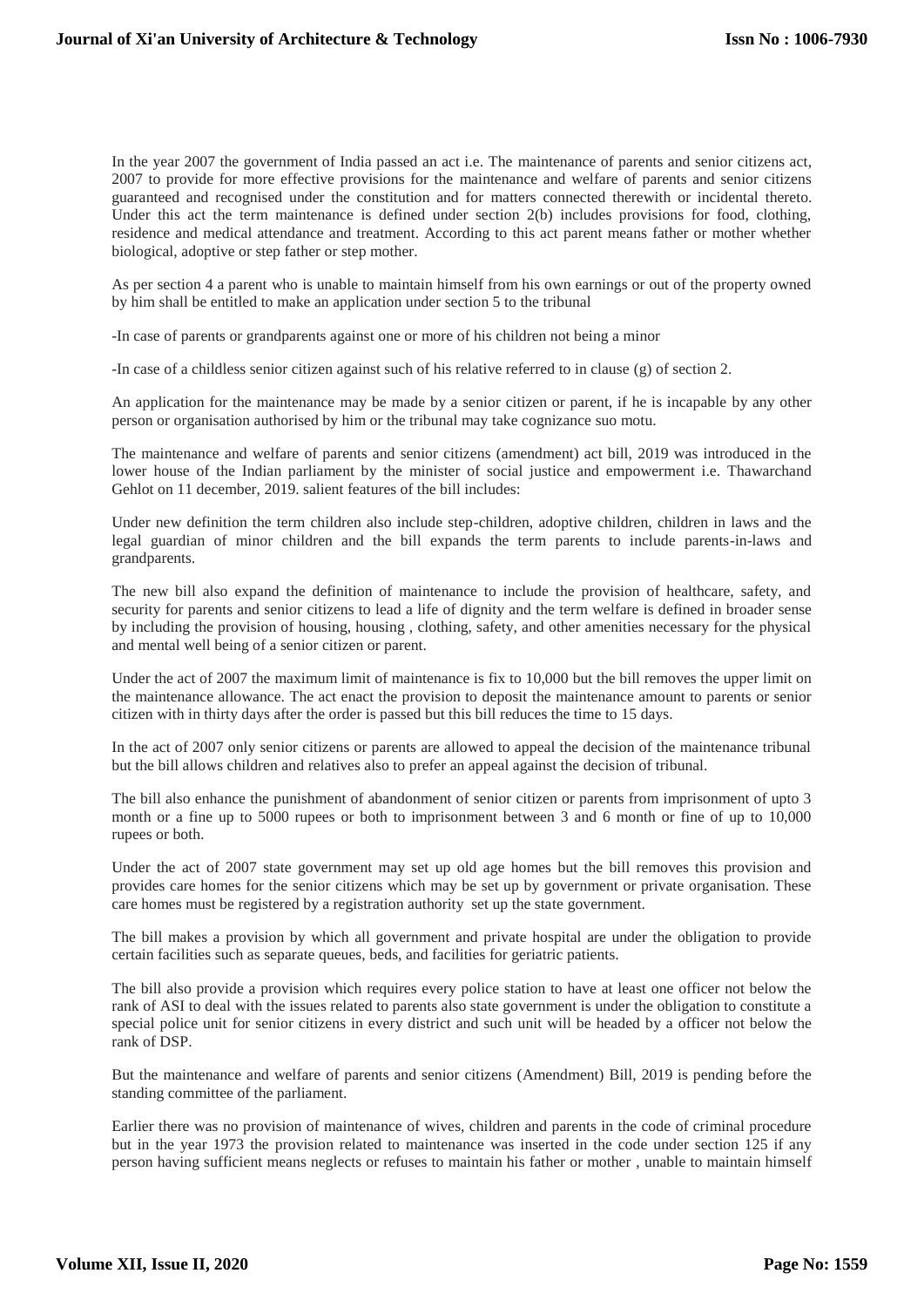In the year 2007 the government of India passed an act i.e. The maintenance of parents and senior citizens act, 2007 to provide for more effective provisions for the maintenance and welfare of parents and senior citizens guaranteed and recognised under the constitution and for matters connected therewith or incidental thereto. Under this act the term maintenance is defined under section 2(b) includes provisions for food, clothing, residence and medical attendance and treatment. According to this act parent means father or mother whether biological, adoptive or step father or step mother.

As per section 4 a parent who is unable to maintain himself from his own earnings or out of the property owned by him shall be entitled to make an application under section 5 to the tribunal

-In case of parents or grandparents against one or more of his children not being a minor

-In case of a childless senior citizen against such of his relative referred to in clause (g) of section 2.

An application for the maintenance may be made by a senior citizen or parent, if he is incapable by any other person or organisation authorised by him or the tribunal may take cognizance suo motu.

The maintenance and welfare of parents and senior citizens (amendment) act bill, 2019 was introduced in the lower house of the Indian parliament by the minister of social justice and empowerment i.e. Thawarchand Gehlot on 11 december, 2019. salient features of the bill includes:

Under new definition the term children also include step-children, adoptive children, children in laws and the legal guardian of minor children and the bill expands the term parents to include parents-in-laws and grandparents.

The new bill also expand the definition of maintenance to include the provision of healthcare, safety, and security for parents and senior citizens to lead a life of dignity and the term welfare is defined in broader sense by including the provision of housing, housing , clothing, safety, and other amenities necessary for the physical and mental well being of a senior citizen or parent.

Under the act of 2007 the maximum limit of maintenance is fix to 10,000 but the bill removes the upper limit on the maintenance allowance. The act enact the provision to deposit the maintenance amount to parents or senior citizen with in thirty days after the order is passed but this bill reduces the time to 15 days.

In the act of 2007 only senior citizens or parents are allowed to appeal the decision of the maintenance tribunal but the bill allows children and relatives also to prefer an appeal against the decision of tribunal.

The bill also enhance the punishment of abandonment of senior citizen or parents from imprisonment of upto 3 month or a fine up to 5000 rupees or both to imprisonment between 3 and 6 month or fine of up to 10,000 rupees or both.

Under the act of 2007 state government may set up old age homes but the bill removes this provision and provides care homes for the senior citizens which may be set up by government or private organisation. These care homes must be registered by a registration authority set up the state government.

The bill makes a provision by which all government and private hospital are under the obligation to provide certain facilities such as separate queues, beds, and facilities for geriatric patients.

The bill also provide a provision which requires every police station to have at least one officer not below the rank of ASI to deal with the issues related to parents also state government is under the obligation to constitute a special police unit for senior citizens in every district and such unit will be headed by a officer not below the rank of DSP.

But the maintenance and welfare of parents and senior citizens (Amendment) Bill, 2019 is pending before the standing committee of the parliament.

Earlier there was no provision of maintenance of wives, children and parents in the code of criminal procedure but in the year 1973 the provision related to maintenance was inserted in the code under section 125 if any person having sufficient means neglects or refuses to maintain his father or mother , unable to maintain himself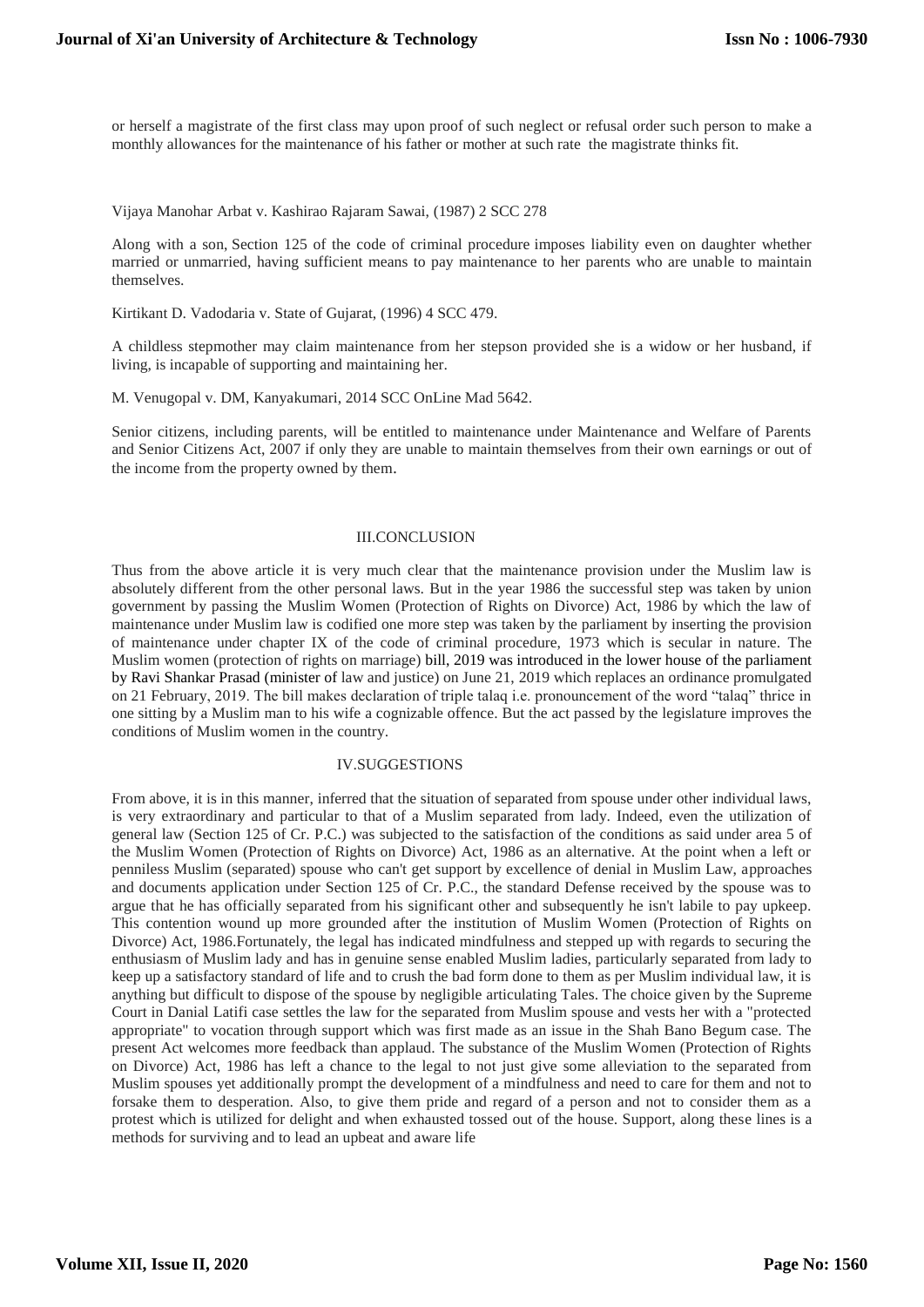or herself a magistrate of the first class may upon proof of such neglect or refusal order such person to make a monthly allowances for the maintenance of his father or mother at such rate the magistrate thinks fit.

#### Vijaya Manohar Arbat v. Kashirao Rajaram Sawai, (1987) 2 SCC 278

Along with a son, Section 125 of the code of criminal procedure imposes liability even on daughter whether married or unmarried, having sufficient means to pay maintenance to her parents who are unable to maintain themselves.

Kirtikant D. Vadodaria v. State of Gujarat, (1996) 4 SCC 479.

A childless stepmother may claim maintenance from her stepson provided she is a widow or her husband, if living, is incapable of supporting and maintaining her.

M. Venugopal v. DM, Kanyakumari, 2014 SCC OnLine Mad 5642.

Senior citizens, including parents, will be entitled to maintenance under Maintenance and Welfare of Parents and Senior Citizens Act, 2007 if only they are unable to maintain themselves from their own earnings or out of the income from the property owned by them.

### III.CONCLUSION

Thus from the above article it is very much clear that the maintenance provision under the Muslim law is absolutely different from the other personal laws. But in the year 1986 the successful step was taken by union government by passing the Muslim Women (Protection of Rights on Divorce) Act, 1986 by which the law of maintenance under Muslim law is codified one more step was taken by the parliament by inserting the provision of maintenance under chapter IX of the code of criminal procedure, 1973 which is secular in nature. The Muslim women (protection of rights on marriage) bill, 2019 was introduced in the lower house of the parliament by Ravi Shankar Prasad (minister of law and justice) on June 21, 2019 which replaces an ordinance promulgated on 21 February, 2019. The bill makes declaration of triple talaq i.e. pronouncement of the word "talaq" thrice in one sitting by a Muslim man to his wife a cognizable offence. But the act passed by the legislature improves the conditions of Muslim women in the country.

#### IV.SUGGESTIONS

From above, it is in this manner, inferred that the situation of separated from spouse under other individual laws, is very extraordinary and particular to that of a Muslim separated from lady. Indeed, even the utilization of general law (Section 125 of Cr. P.C.) was subjected to the satisfaction of the conditions as said under area 5 of the Muslim Women (Protection of Rights on Divorce) Act, 1986 as an alternative. At the point when a left or penniless Muslim (separated) spouse who can't get support by excellence of denial in Muslim Law, approaches and documents application under Section 125 of Cr. P.C., the standard Defense received by the spouse was to argue that he has officially separated from his significant other and subsequently he isn't labile to pay upkeep. This contention wound up more grounded after the institution of Muslim Women (Protection of Rights on Divorce) Act, 1986.Fortunately, the legal has indicated mindfulness and stepped up with regards to securing the enthusiasm of Muslim lady and has in genuine sense enabled Muslim ladies, particularly separated from lady to keep up a satisfactory standard of life and to crush the bad form done to them as per Muslim individual law, it is anything but difficult to dispose of the spouse by negligible articulating Tales. The choice given by the Supreme Court in Danial Latifi case settles the law for the separated from Muslim spouse and vests her with a "protected appropriate" to vocation through support which was first made as an issue in the Shah Bano Begum case. The present Act welcomes more feedback than applaud. The substance of the Muslim Women (Protection of Rights on Divorce) Act, 1986 has left a chance to the legal to not just give some alleviation to the separated from Muslim spouses yet additionally prompt the development of a mindfulness and need to care for them and not to forsake them to desperation. Also, to give them pride and regard of a person and not to consider them as a protest which is utilized for delight and when exhausted tossed out of the house. Support, along these lines is a methods for surviving and to lead an upbeat and aware life